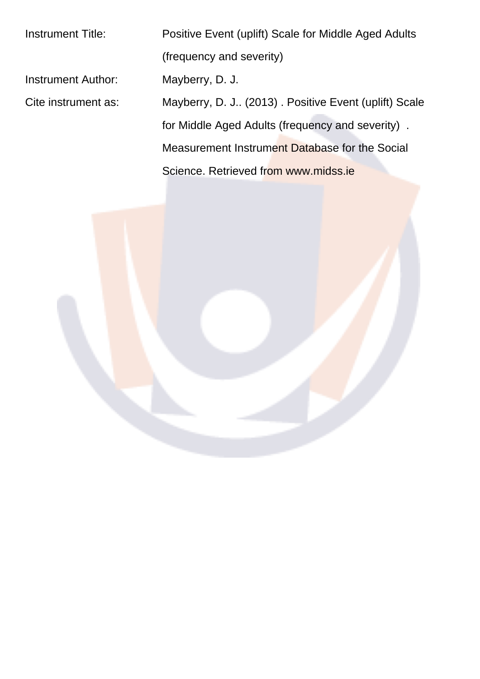Instrument Title: Positive Event (uplift) Scale for Middle Aged Adults (frequency and severity) Instrument Author: Mayberry, D. J. Cite instrument as: Mayberry, D. J.. (2013) . Positive Event (uplift) Scale for Middle Aged Adults (frequency and severity) . Measurement Instrument Database for the Social Science. Retrieved from www.midss.ie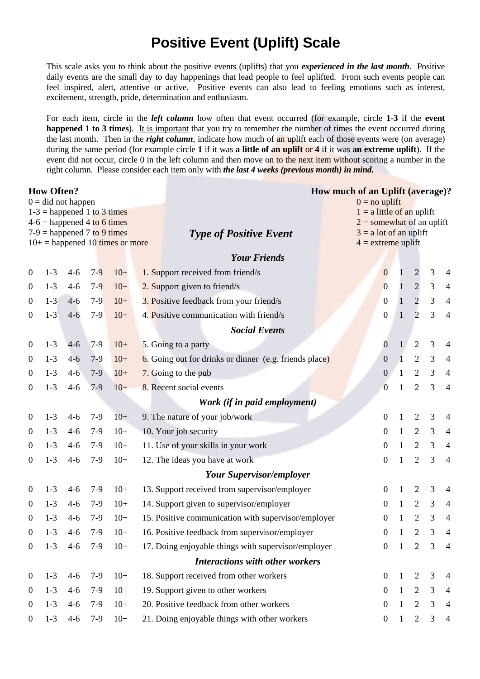## **Positive Event (Uplift) Scale**

This scale asks you to think about the positive events (uplifts) that you experienced in the last month. Positive daily events are the small day to day happenings that lead people to feel uplifted. From such events people can feel inspired, alert, attentive or active. Positive events can also lead to feeling emotions such as interest, excitement, strength, pride, determination and enthusiasm.

For each item, circle in the *left column* how often that event occurred (for example, circle 1-3 if the event happened 1 to 3 times). It is important that you try to remember the number of times the event occurred during the last month. Then in the right column, indicate how much of an uplift each of those events were (on average) during the same period (for example circle 1 if it was a little of an uplift or 4 if it was an extreme uplift). If the event did not occur, circle 0 in the left column and then move on to the next item without scoring a number in the right column. Please consider each item only with the last 4 weeks (previous month) in mind.

| <b>How Often?</b><br>$0 = did not happen$                                                                                            |                              |         |       |       |  | How much of an Uplift (average)?<br>$0 = no$ uplift    |                                                                                                                |              |                |                |                |
|--------------------------------------------------------------------------------------------------------------------------------------|------------------------------|---------|-------|-------|--|--------------------------------------------------------|----------------------------------------------------------------------------------------------------------------|--------------|----------------|----------------|----------------|
| $1-3$ = happened 1 to 3 times<br>$4-6$ = happened 4 to 6 times<br>$7-9$ = happened 7 to 9 times<br>$10+$ = happened 10 times or more |                              |         |       |       |  | <b>Type of Positive Event</b>                          | $1 = a$ little of an uplift<br>$2 =$ somewhat of an uplift<br>$3 = a$ lot of an uplift<br>$4 =$ extreme uplift |              |                |                |                |
|                                                                                                                                      |                              |         |       |       |  | <b>Your Friends</b>                                    |                                                                                                                |              |                |                |                |
| $\boldsymbol{0}$                                                                                                                     | $1 - 3$                      | $4 - 6$ | $7-9$ | $10+$ |  | 1. Support received from friend/s                      | $\boldsymbol{0}$                                                                                               |              | $\overline{c}$ | 3              | 4              |
| $\boldsymbol{0}$                                                                                                                     | $1 - 3$                      | $4 - 6$ | $7-9$ | $10+$ |  | 2. Support given to friend/s                           | $\overline{0}$                                                                                                 |              | $\sqrt{2}$     | 3              | $\overline{4}$ |
| $\boldsymbol{0}$                                                                                                                     | $1 - 3$                      | $4 - 6$ | $7-9$ | $10+$ |  | 3. Positive feedback from your friend/s                | $\overline{0}$                                                                                                 | $\mathbf{1}$ | $\overline{2}$ | $\mathfrak{Z}$ | $\overline{4}$ |
| $\boldsymbol{0}$                                                                                                                     | $1 - 3$                      | $4 - 6$ | $7-9$ | $10+$ |  | 4. Positive communication with friend/s                |                                                                                                                |              | $\overline{2}$ | 3              | $\overline{4}$ |
| <b>Social Events</b>                                                                                                                 |                              |         |       |       |  |                                                        |                                                                                                                |              |                |                |                |
| $\boldsymbol{0}$                                                                                                                     | $1 - 3$                      | $4 - 6$ | $7-9$ | $10+$ |  | 5. Going to a party                                    | $\overline{0}$                                                                                                 | 1            | $\mathfrak{2}$ | 3              | $\overline{4}$ |
| $\overline{0}$                                                                                                                       | $1 - 3$                      | $4 - 6$ | $7-9$ | $10+$ |  | 6. Going out for drinks or dinner (e.g. friends place) | $\boldsymbol{0}$                                                                                               | 1            | $\overline{2}$ | 3              | $\overline{4}$ |
| $\boldsymbol{0}$                                                                                                                     | $1 - 3$                      | $4 - 6$ | $7-9$ | $10+$ |  | 7. Going to the pub                                    | $\boldsymbol{0}$                                                                                               | 1            | $\overline{2}$ | 3              | $\overline{4}$ |
| $\boldsymbol{0}$                                                                                                                     | $1-3$                        | $4 - 6$ | $7-9$ | $10+$ |  | 8. Recent social events                                | $\overline{0}$                                                                                                 | 1            | $\mathfrak{2}$ | 3              | $\overline{4}$ |
|                                                                                                                                      | Work (if in paid employment) |         |       |       |  |                                                        |                                                                                                                |              |                |                |                |
| $\boldsymbol{0}$                                                                                                                     | $1-3$                        | $4 - 6$ | $7-9$ | $10+$ |  | 9. The nature of your job/work                         | $\boldsymbol{0}$                                                                                               | $\mathbf{1}$ | $\mathbf{2}$   | 3              | 4              |
| $\boldsymbol{0}$                                                                                                                     | $1 - 3$                      | $4 - 6$ | $7-9$ | $10+$ |  | 10. Your job security                                  | $\boldsymbol{0}$                                                                                               | $\mathbf{1}$ | $\mathfrak{2}$ | 3              | $\overline{4}$ |
| $\overline{0}$                                                                                                                       | $1-3$                        | $4 - 6$ | $7-9$ | $10+$ |  | 11. Use of your skills in your work                    | $\boldsymbol{0}$                                                                                               | $\mathbf{1}$ | $\overline{2}$ | 3              | $\overline{4}$ |
| $\boldsymbol{0}$                                                                                                                     | $1-3$                        | $4 - 6$ | $7-9$ | $10+$ |  | 12. The ideas you have at work                         | 0                                                                                                              | 1            | $\mathfrak{2}$ | 3              | $\overline{4}$ |
|                                                                                                                                      |                              |         |       |       |  | <b>Your Supervisor/employer</b>                        |                                                                                                                |              |                |                |                |
| $\boldsymbol{0}$                                                                                                                     | $1 - 3$                      | $4 - 6$ | $7-9$ | $10+$ |  | 13. Support received from supervisor/employer          | $\boldsymbol{0}$                                                                                               | $\mathbf{1}$ | $\mathfrak{2}$ | 3              | 4              |
| $\overline{0}$                                                                                                                       | $1-3$                        | $4 - 6$ | $7-9$ | $10+$ |  | 14. Support given to supervisor/employer               | $\boldsymbol{0}$                                                                                               | $\mathbf{1}$ | $\overline{2}$ | 3              | $\overline{4}$ |
| $\boldsymbol{0}$                                                                                                                     | $1-3$                        | $4 - 6$ | $7-9$ | $10+$ |  | 15. Positive communication with supervisor/employer    | 0                                                                                                              | $\mathbf{1}$ | $\mathfrak{2}$ | 3              | $\overline{4}$ |
| $\boldsymbol{0}$                                                                                                                     | $1-3$                        | $4 - 6$ | $7-9$ | $10+$ |  | 16. Positive feedback from supervisor/employer         | 0                                                                                                              |              | $\overline{2}$ | 3              | $\overline{4}$ |
| $\boldsymbol{0}$                                                                                                                     | $1-3$                        | $4 - 6$ | $7-9$ | $10+$ |  | 17. Doing enjoyable things with supervisor/employer    | $\boldsymbol{0}$                                                                                               | $\perp$      | 2              | 3              | 4              |
|                                                                                                                                      |                              |         |       |       |  | <b>Interactions with other workers</b>                 |                                                                                                                |              |                |                |                |
| $\boldsymbol{0}$                                                                                                                     | $1 - 3$                      | $4 - 6$ | $7-9$ | $10+$ |  | 18. Support received from other workers                | $\mathbf{0}$                                                                                                   | $\mathbf{1}$ | $\mathfrak{2}$ | 3              | 4              |
| $\boldsymbol{0}$                                                                                                                     | $1-3$                        | $4 - 6$ | $7-9$ | $10+$ |  | 19. Support given to other workers                     | $\mathbf{0}$                                                                                                   | $\mathbf{1}$ | $\overline{2}$ | 3              | 4              |
| $\boldsymbol{0}$                                                                                                                     | $1-3$                        | $4 - 6$ | $7-9$ | $10+$ |  | 20. Positive feedback from other workers               | $\mathbf{0}$                                                                                                   | $\mathbf{1}$ | $\mathfrak{2}$ | 3              | $\overline{4}$ |
| $\boldsymbol{0}$                                                                                                                     | $1-3$                        | $4 - 6$ | $7-9$ | $10+$ |  | 21. Doing enjoyable things with other workers          | $\boldsymbol{0}$                                                                                               | $\mathbf{1}$ | $\mathfrak{2}$ | 3              | 4              |